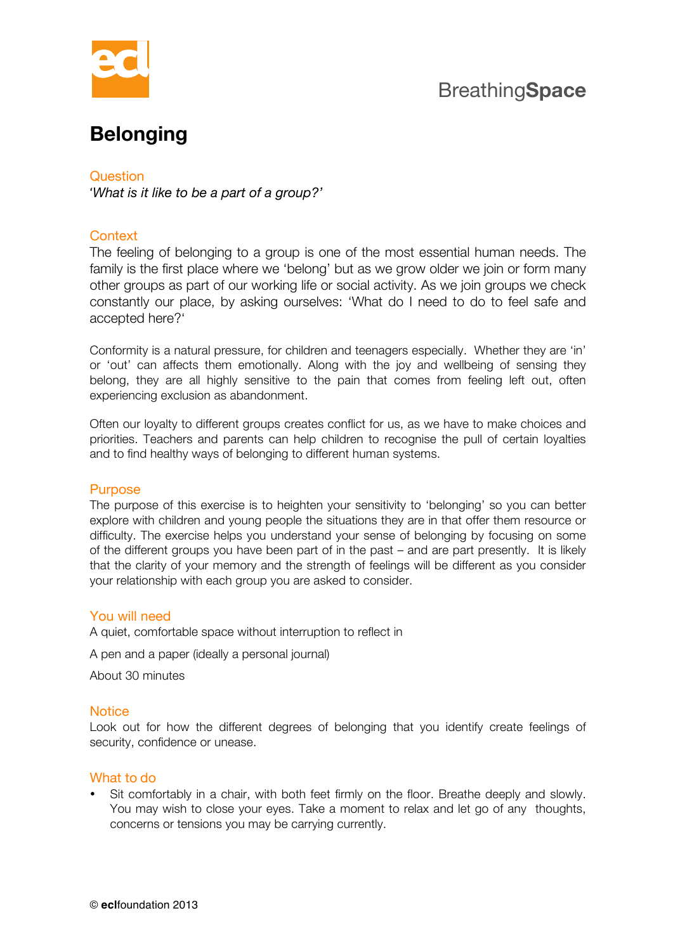

## Breathing**Space**

# **Belonging**

Question

'*What is it like to be a part of a group?'*

### **Context**

The feeling of belonging to a group is one of the most essential human needs. The family is the first place where we 'belong' but as we grow older we join or form many other groups as part of our working life or social activity. As we join groups we check constantly our place, by asking ourselves: 'What do I need to do to feel safe and accepted here?'

Conformity is a natural pressure, for children and teenagers especially. Whether they are 'in' or 'out' can affects them emotionally. Along with the joy and wellbeing of sensing they belong, they are all highly sensitive to the pain that comes from feeling left out, often experiencing exclusion as abandonment.

Often our loyalty to different groups creates conflict for us, as we have to make choices and priorities. Teachers and parents can help children to recognise the pull of certain loyalties and to find healthy ways of belonging to different human systems.

#### Purpose

The purpose of this exercise is to heighten your sensitivity to 'belonging' so you can better explore with children and young people the situations they are in that offer them resource or difficulty. The exercise helps you understand your sense of belonging by focusing on some of the different groups you have been part of in the past – and are part presently. It is likely that the clarity of your memory and the strength of feelings will be different as you consider your relationship with each group you are asked to consider.

#### You will need

A quiet, comfortable space without interruption to reflect in

A pen and a paper (ideally a personal journal)

About 30 minutes

#### **Notice**

Look out for how the different degrees of belonging that you identify create feelings of security, confidence or unease.

#### What to do

• Sit comfortably in a chair, with both feet firmly on the floor. Breathe deeply and slowly. You may wish to close your eyes. Take a moment to relax and let go of any thoughts, concerns or tensions you may be carrying currently.